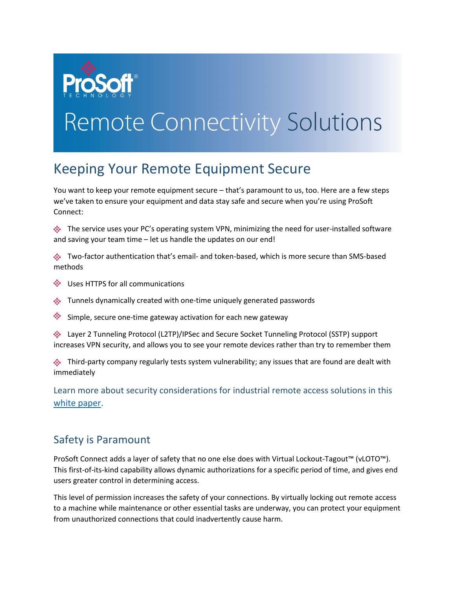

## **Remote Connectivity Solutions**

## Keeping Your Remote Equipment Secure

You want to keep your remote equipment secure – that's paramount to us, too. Here are a few steps we've taken to ensure your equipment and data stay safe and secure when you're using ProSoft Connect:

 $\hat{\mathcal{L}}$  The service uses your PC's operating system VPN, minimizing the need for user-installed software and saving your team time – let us handle the updates on our end!

Two-factor authentication that's email- and token-based, which is more secure than SMS-based methods

- Uses HTTPS for all communications
- **EXECUTE:** Tunnels dynamically created with one-time uniquely generated passwords
- Simple, secure one-time gateway activation for each new gateway

Layer 2 Tunneling Protocol (L2TP)/IPSec and Secure Socket Tunneling Protocol (SSTP) support increases VPN security, and allows you to see your remote devices rather than try to remember them

 $\clubsuit$  Third-party company regularly tests system vulnerability; any issues that are found are dealt with immediately

Learn more about security considerations for industrial remote access solutions in this [white paper.](http://psft.com/C86)

## Safety is Paramount

ProSoft Connect adds a layer of safety that no one else does with Virtual Lockout-Tagout<sup>™</sup> (vLOTO™). This first-of-its-kind capability allows dynamic authorizations for a specific period of time, and gives end users greater control in determining access.

This level of permission increases the safety of your connections. By virtually locking out remote access to a machine while maintenance or other essential tasks are underway, you can protect your equipment from unauthorized connections that could inadvertently cause harm.